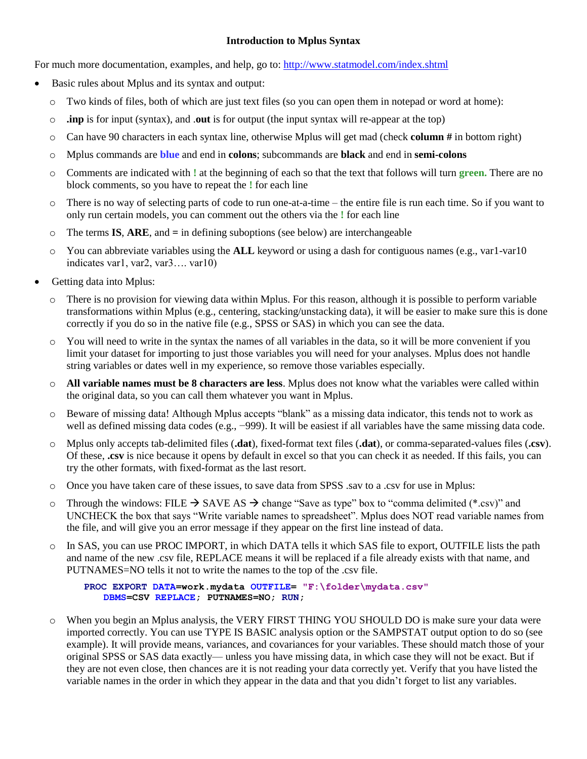## **Introduction to Mplus Syntax**

For much more documentation, examples, and help, go to[: http://www.statmodel.com/index.shtml](http://www.statmodel.com/index.shtml)

- Basic rules about Mplus and its syntax and output:
	- o Two kinds of files, both of which are just text files (so you can open them in notepad or word at home):
	- o **.inp** is for input (syntax), and .**out** is for output (the input syntax will re-appear at the top)
	- o Can have 90 characters in each syntax line, otherwise Mplus will get mad (check **column #** in bottom right)
	- o Mplus commands are **blue** and end in **colons**; subcommands are **black** and end in **semi-colons**
	- o Comments are indicated with **!** at the beginning of each so that the text that follows will turn **green.** There are no block comments, so you have to repeat the **!** for each line
	- o There is no way of selecting parts of code to run one-at-a-time the entire file is run each time. So if you want to only run certain models, you can comment out the others via the **!** for each line
	- o The terms **IS**, **ARE**, and **=** in defining suboptions (see below) are interchangeable
	- o You can abbreviate variables using the **ALL** keyword or using a dash for contiguous names (e.g., var1-var10 indicates var1, var2, var3…. var10)
- Getting data into Mplus:
	- o There is no provision for viewing data within Mplus. For this reason, although it is possible to perform variable transformations within Mplus (e.g., centering, stacking/unstacking data), it will be easier to make sure this is done correctly if you do so in the native file (e.g., SPSS or SAS) in which you can see the data.
	- o You will need to write in the syntax the names of all variables in the data, so it will be more convenient if you limit your dataset for importing to just those variables you will need for your analyses. Mplus does not handle string variables or dates well in my experience, so remove those variables especially.
	- o **All variable names must be 8 characters are less**. Mplus does not know what the variables were called within the original data, so you can call them whatever you want in Mplus.
	- o Beware of missing data! Although Mplus accepts "blank" as a missing data indicator, this tends not to work as well as defined missing data codes (e.g., −999). It will be easiest if all variables have the same missing data code.
	- o Mplus only accepts tab-delimited files (**.dat**), fixed-format text files (**.dat**), or comma-separated-values files (**.csv**). Of these, **.csv** is nice because it opens by default in excel so that you can check it as needed. If this fails, you can try the other formats, with fixed-format as the last resort.
	- o Once you have taken care of these issues, to save data from SPSS .sav to a .csv for use in Mplus:
	- $\circ$  Through the windows: FILE  $\rightarrow$  SAVE AS  $\rightarrow$  change "Save as type" box to "comma delimited (\*.csv)" and UNCHECK the box that says "Write variable names to spreadsheet". Mplus does NOT read variable names from the file, and will give you an error message if they appear on the first line instead of data.
	- o In SAS, you can use PROC IMPORT, in which DATA tells it which SAS file to export, OUTFILE lists the path and name of the new .csv file, REPLACE means it will be replaced if a file already exists with that name, and PUTNAMES=NO tells it not to write the names to the top of the .csv file.

**PROC EXPORT DATA=work.mydata OUTFILE= "F:\folder\mydata.csv" DBMS=CSV REPLACE; PUTNAMES=NO; RUN;**

o When you begin an Mplus analysis, the VERY FIRST THING YOU SHOULD DO is make sure your data were imported correctly. You can use TYPE IS BASIC analysis option or the SAMPSTAT output option to do so (see example). It will provide means, variances, and covariances for your variables. These should match those of your original SPSS or SAS data exactly— unless you have missing data, in which case they will not be exact. But if they are not even close, then chances are it is not reading your data correctly yet. Verify that you have listed the variable names in the order in which they appear in the data and that you didn't forget to list any variables.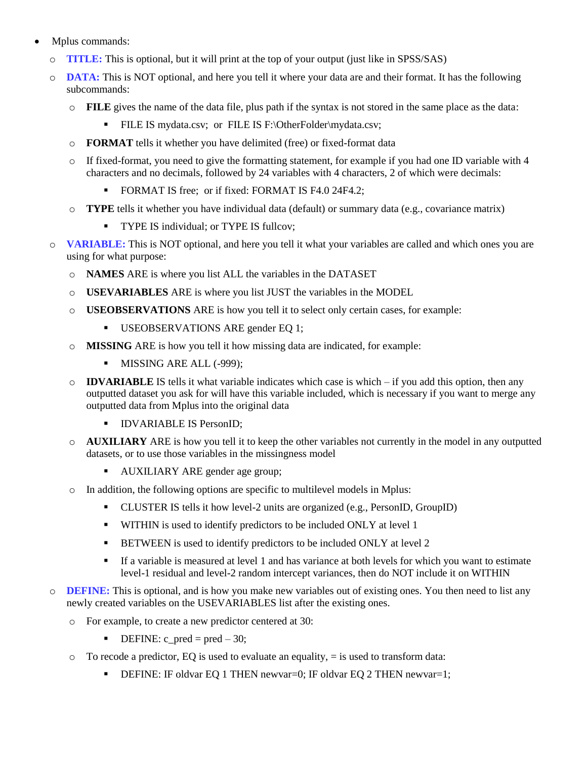- Mplus commands:
	- o **TITLE:** This is optional, but it will print at the top of your output (just like in SPSS/SAS)
	- o **DATA:** This is NOT optional, and here you tell it where your data are and their format. It has the following subcommands:
		- o **FILE** gives the name of the data file, plus path if the syntax is not stored in the same place as the data:
			- FILE IS mydata.csv; or FILE IS F:\OtherFolder\mydata.csv;
		- o **FORMAT** tells it whether you have delimited (free) or fixed-format data
		- o If fixed-format, you need to give the formatting statement, for example if you had one ID variable with 4 characters and no decimals, followed by 24 variables with 4 characters, 2 of which were decimals:
			- FORMAT IS free; or if fixed: FORMAT IS F4.0 24F4.2;
		- o **TYPE** tells it whether you have individual data (default) or summary data (e.g., covariance matrix)
			- TYPE IS individual; or TYPE IS fullcov;
	- **VARIABLE:** This is NOT optional, and here you tell it what your variables are called and which ones you are using for what purpose:
		- o **NAMES** ARE is where you list ALL the variables in the DATASET
		- o **USEVARIABLES** ARE is where you list JUST the variables in the MODEL
		- o **USEOBSERVATIONS** ARE is how you tell it to select only certain cases, for example:
			- USEOBSERVATIONS ARE gender EQ 1;
		- **MISSING** ARE is how you tell it how missing data are indicated, for example:
			- MISSING ARE ALL (-999);
		- $\circ$  **IDVARIABLE** IS tells it what variable indicates which case is which if you add this option, then any outputted dataset you ask for will have this variable included, which is necessary if you want to merge any outputted data from Mplus into the original data
			- **IDVARIABLE IS PersonID;**
		- o **AUXILIARY** ARE is how you tell it to keep the other variables not currently in the model in any outputted datasets, or to use those variables in the missingness model
			- **AUXILIARY ARE gender age group;**
		- o In addition, the following options are specific to multilevel models in Mplus:
			- CLUSTER IS tells it how level-2 units are organized (e.g., PersonID, GroupID)
			- **WITHIN** is used to identify predictors to be included ONLY at level 1
			- **BETWEEN** is used to identify predictors to be included ONLY at level 2
			- If a variable is measured at level 1 and has variance at both levels for which you want to estimate level-1 residual and level-2 random intercept variances, then do NOT include it on WITHIN
	- o **DEFINE:** This is optional, and is how you make new variables out of existing ones. You then need to list any newly created variables on the USEVARIABLES list after the existing ones.
		- o For example, to create a new predictor centered at 30:
			- $\blacksquare$  DEFINE: c\_pred = pred 30;
		- $\circ$  To recode a predictor, EQ is used to evaluate an equality,  $=$  is used to transform data:
			- DEFINE: IF oldvar EQ 1 THEN newvar=0; IF oldvar EQ 2 THEN newvar=1;